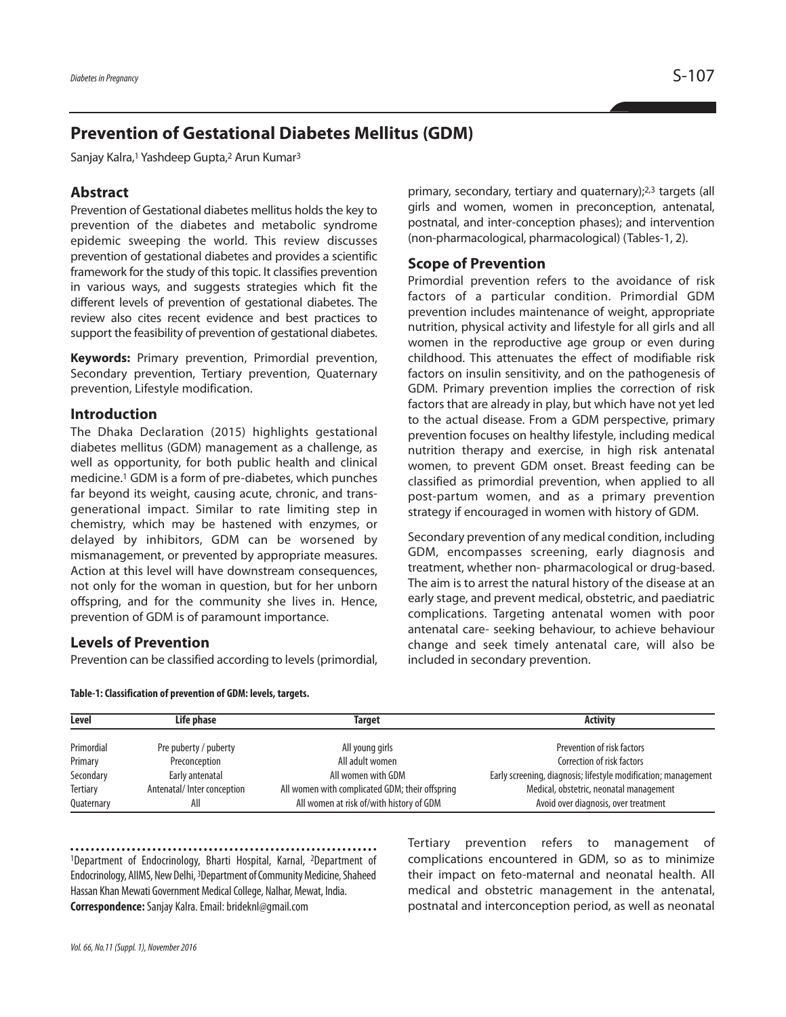# **Prevention of Gestational Diabetes Mellitus (GDM)**

Sanjay Kalra, <sup>1</sup> Yashdeep Gupta, <sup>2</sup> Arun Kumar3

## **Abstract**

Prevention of Gestational diabetes mellitus holds the key to prevention of the diabetes and metabolic syndrome epidemic sweeping the world. This review discusses prevention of gestational diabetes and provides a scientific framework for the study of this topic. It classifies prevention in various ways, and suggests strategies which fit the different levels of prevention of gestational diabetes. The review also cites recent evidence and best practices to support the feasibility of prevention of gestational diabetes.

**Keywords:** Primary prevention, Primordial prevention, Secondary prevention, Tertiary prevention, Quaternary prevention, Lifestyle modification.

#### **Introduction**

The Dhaka Declaration (2015) highlights gestational diabetes mellitus (GDM) management as a challenge, as well as opportunity, for both public health and clinical medicine. <sup>1</sup> GDM is a form of pre-diabetes, which punches far beyond its weight, causing acute, chronic, and transgenerational impact. Similar to rate limiting step in chemistry, which may be hastened with enzymes, or delayed by inhibitors, GDM can be worsened by mismanagement, or prevented by appropriate measures. Action at this level will have downstream consequences, not only for the woman in question, but for her unborn offspring, and for the community she lives in. Hence, prevention of GDM is of paramount importance.

#### **Levels of Prevention**

Prevention can be classified according to levels (primordial,

**Table-1:Classification of prevention of GDM: levels, targets.**

primary, secondary, tertiary and quaternary);<sup>2,3</sup> targets (all girls and women, women in preconception, antenatal, postnatal, and inter-conception phases); and intervention (non-pharmacological, pharmacological) (Tables-1, 2).

# **Scope of Prevention**

Primordial prevention refers to the avoidance of risk factors of a particular condition. Primordial GDM prevention includes maintenance of weight, appropriate nutrition, physical activity and lifestyle for all girls and all women in the reproductive age group or even during childhood. This attenuates the effect of modifiable risk factors on insulin sensitivity, and on the pathogenesis of GDM. Primary prevention implies the correction of risk factors that are already in play, but which have not yet led to the actual disease. From a GDM perspective, primary prevention focuses on healthy lifestyle, including medical nutrition therapy and exercise, in high risk antenatal women, to prevent GDM onset. Breast feeding can be classified as primordial prevention, when applied to all post-partum women, and as a primary prevention strategy if encouraged in women with history of GDM.

Secondary prevention of any medical condition, including GDM, encompasses screening, early diagnosis and treatment, whether non- pharmacological or drug-based. The aim is to arrest the natural history of the disease at an early stage, and prevent medical, obstetric, and paediatric complications. Targeting antenatal women with poor antenatal care- seeking behaviour, to achieve behaviour change and seek timely antenatal care, will also be included in secondary prevention.

| Level      | Life phase                 | Target                                          | <b>Activity</b>                                                |
|------------|----------------------------|-------------------------------------------------|----------------------------------------------------------------|
| Primordial | Pre puberty / puberty      | All young girls                                 | Prevention of risk factors                                     |
| Primary    | Preconception              | All adult women                                 | Correction of risk factors                                     |
| Secondary  | Early antenatal            | All women with GDM                              | Early screening, diagnosis; lifestyle modification; management |
| Tertiary   | Antenatal/Inter conception | All women with complicated GDM; their offspring | Medical, obstetric, neonatal management                        |
| Quaternary | All                        | All women at risk of/with history of GDM        | Avoid over diagnosis, over treatment                           |

1Department of Endocrinology, Bharti Hospital, Karnal, 2Department of Endocrinology, AIIMS, New Delhi, <sup>3</sup>Department of Community Medicine, Shaheed Hassan Khan Mewati Government Medical College, Nalhar, Mewat, India. **Correspondence:**Sanjay Kalra.Email:brideknl@gmail.com

Tertiary prevention refers to management of complications encountered in GDM, so as to minimize their impact on feto-maternal and neonatal health. All medical and obstetric management in the antenatal, postnatal and interconception period, as well as neonatal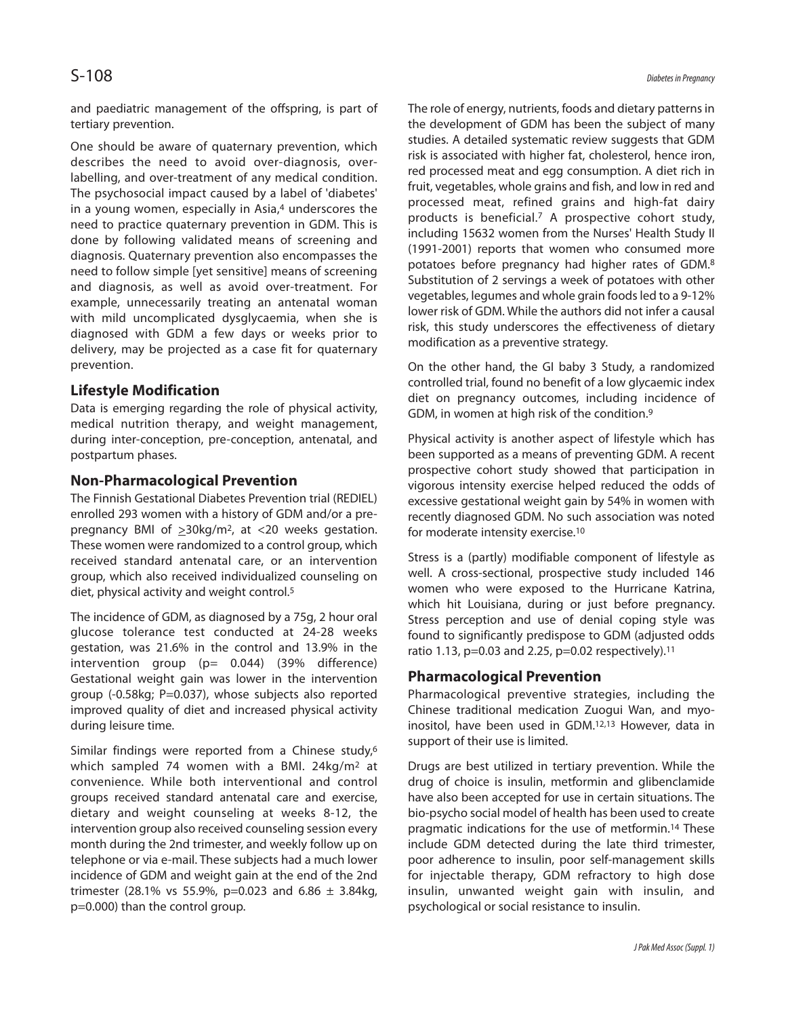and paediatric management of the offspring, is part of tertiary prevention.

One should be aware of quaternary prevention, which describes the need to avoid over-diagnosis, overlabelling, and over-treatment of any medical condition. The psychosocial impact caused by a label of 'diabetes' in a young women, especially in Asia, <sup>4</sup> underscores the need to practice quaternary prevention in GDM. This is done by following validated means of screening and diagnosis. Quaternary prevention also encompasses the need to follow simple [yet sensitive] means of screening and diagnosis, as well as avoid over-treatment. For example, unnecessarily treating an antenatal woman with mild uncomplicated dysglycaemia, when she is diagnosed with GDM a few days or weeks prior to delivery, may be projected as a case fit for quaternary prevention.

# **Lifestyle Modification**

Data is emerging regarding the role of physical activity, medical nutrition therapy, and weight management, during inter-conception, pre-conception, antenatal, and postpartum phases.

# **Non-Pharmacological Prevention**

The Finnish Gestational Diabetes Prevention trial (REDIEL) enrolled 293 women with a history of GDM and/or a prepregnancy BMI of  $\geq$ 30kg/m<sup>2</sup>, at <20 weeks gestation. These women were randomized to a control group, which received standard antenatal care, or an intervention group, which also received individualized counseling on diet, physical activity and weight control. 5

The incidence of GDM, as diagnosed by a 75g, 2 hour oral glucose tolerance test conducted at 24-28 weeks gestation, was 21.6% in the control and 13.9% in the intervention group ( $p= 0.044$ ) (39% difference) Gestational weight gain was lower in the intervention group (-0.58kg; P=0.037), whose subjects also reported improved quality of diet and increased physical activity during leisure time.

Similar findings were reported from a Chinese study, 6 which sampled 74 women with a BMI. 24kg/m2 at convenience. While both interventional and control groups received standard antenatal care and exercise, dietary and weight counseling at weeks 8-12, the intervention group also received counseling session every month during the 2nd trimester, and weekly follow up on telephone or via e-mail. These subjects had a much lower incidence of GDM and weight gain at the end of the 2nd trimester (28.1% vs 55.9%, p=0.023 and 6.86  $\pm$  3.84kg, p=0.000) than the control group.

The role of energy, nutrients, foods and dietary patterns in the development of GDM has been the subject of many studies. A detailed systematic review suggests that GDM risk is associated with higher fat, cholesterol, hence iron, red processed meat and egg consumption. A diet rich in fruit, vegetables, whole grains and fish, and low in red and processed meat, refined grains and high-fat dairy products is beneficial. <sup>7</sup> A prospective cohort study, including 15632 women from the Nurses' Health Study II (1991-2001) reports that women who consumed more potatoes before pregnancy had higher rates of GDM. 8 Substitution of 2 servings a week of potatoes with other vegetables, legumes and whole grain foods led to a 9-12% lower risk of GDM. While the authors did not infer a causal risk, this study underscores the effectiveness of dietary modification as a preventive strategy.

On the other hand, the GI baby 3 Study, a randomized controlled trial, found no benefit of a low glycaemic index diet on pregnancy outcomes, including incidence of GDM, in women at high risk of the condition.<sup>9</sup>

Physical activity is another aspect of lifestyle which has been supported as a means of preventing GDM. A recent prospective cohort study showed that participation in vigorous intensity exercise helped reduced the odds of excessive gestational weight gain by 54% in women with recently diagnosed GDM. No such association was noted for moderate intensity exercise. 10

Stress is a (partly) modifiable component of lifestyle as well. A cross-sectional, prospective study included 146 women who were exposed to the Hurricane Katrina, which hit Louisiana, during or just before pregnancy. Stress perception and use of denial coping style was found to significantly predispose to GDM (adjusted odds ratio 1.13, p=0.03 and 2.25, p=0.02 respectively).<sup>11</sup>

# **Pharmacological Prevention**

Pharmacological preventive strategies, including the Chinese traditional medication Zuogui Wan, and myoinositol, have been used in GDM. 12,13 However, data in support of their use is limited.

Drugs are best utilized in tertiary prevention. While the drug of choice is insulin, metformin and glibenclamide have also been accepted for use in certain situations. The bio-psycho social model of health has been used to create pragmatic indications for the use of metformin. <sup>14</sup> These include GDM detected during the late third trimester, poor adherence to insulin, poor self-management skills for injectable therapy, GDM refractory to high dose insulin, unwanted weight gain with insulin, and psychological or social resistance to insulin.